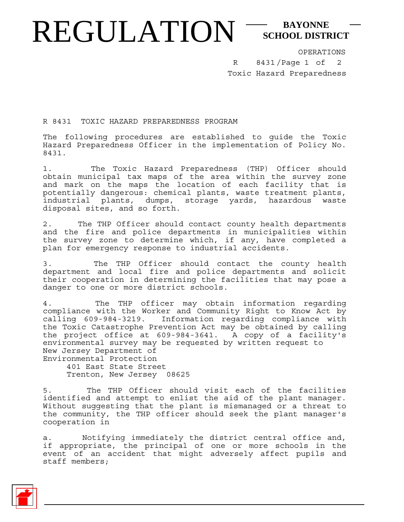## REGULATION<sup>-SCHOOL DISTI</sup> **SCHOOL DISTRICT**

OPERATIONS

8431/Page 1 of 2 Toxic Hazard Preparedness R

R 8431 TOXIC HAZARD PREPAREDNESS PROGRAM

The following procedures are established to guide the Toxic Hazard Preparedness Officer in the implementation of Policy No. 8431.

1. The Toxic Hazard Preparedness (THP) Officer should obtain municipal tax maps of the area within the survey zone and mark on the maps the location of each facility that is potentially dangerous: chemical plants, waste treatment plants, industrial plants, dumps, storage yards, hazardous waste disposal sites, and so forth.

2. The THP Officer should contact county health departments and the fire and police departments in municipalities within the survey zone to determine which, if any, have completed a plan for emergency response to industrial accidents.

3. The THP Officer should contact the county health department and local fire and police departments and solicit their cooperation in determining the facilities that may pose a danger to one or more district schools.

4. The THP officer may obtain information regarding compliance with the Worker and Community Right to Know Act by calling 609-984-3219. Information regarding compliance with the Toxic Catastrophe Prevention Act may be obtained by calling the project office at 609-984-3641. A copy of a facility's environmental survey may be requested by written request to New Jersey Department of Environmental Protection

 401 East State Street Trenton, New Jersey 08625

5. The THP Officer should visit each of the facilities identified and attempt to enlist the aid of the plant manager. Without suggesting that the plant is mismanaged or a threat to the community, the THP officer should seek the plant manager's cooperation in

a. Notifying immediately the district central office and, if appropriate, the principal of one or more schools in the event of an accident that might adversely affect pupils and staff members;

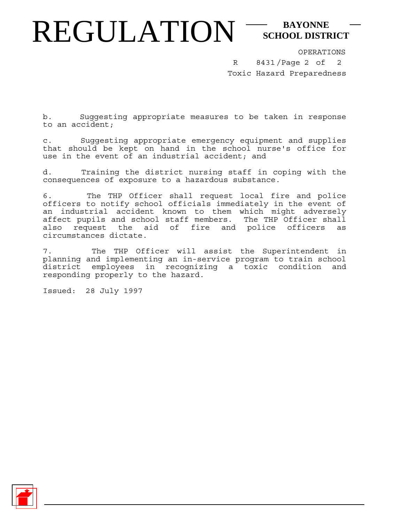## REGULATION<sup>-SCHOOL DISTI</sup> **SCHOOL DISTRICT**

OPERATIONS

8431/Page 2 of Toxic Hazard Preparedness R 2

b. Suggesting appropriate measures to be taken in response to an accident;

c. Suggesting appropriate emergency equipment and supplies that should be kept on hand in the school nurse's office for use in the event of an industrial accident; and

d. Training the district nursing staff in coping with the consequences of exposure to a hazardous substance.

6. The THP Officer shall request local fire and police officers to notify school officials immediately in the event of an industrial accident known to them which might adversely affect pupils and school staff members. The THP Officer shall also request the aid of fire and police officers as circumstances dictate.

7. The THP Officer will assist the Superintendent in planning and implementing an in-service program to train school district employees in recognizing a toxic condition and responding properly to the hazard.

Issued: 28 July 1997